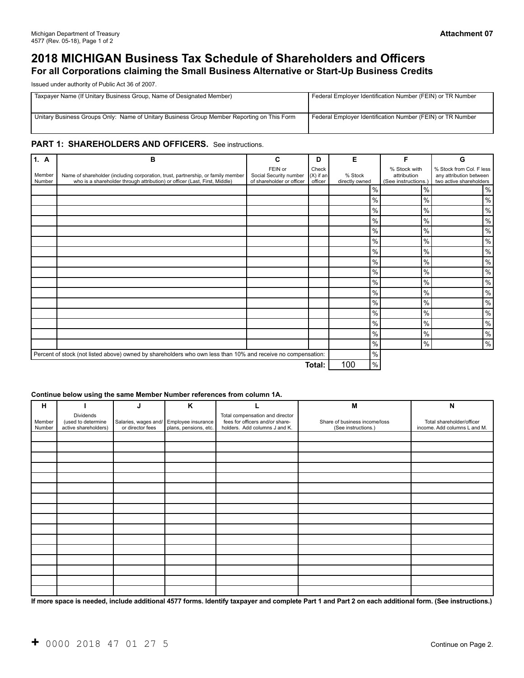# **2018 MICHIGAN Business Tax Schedule of Shareholders and Officers For all Corporations claiming the Small Business Alternative or Start-Up Business Credits**

Issued under authority of Public Act 36 of 2007.

| Taxpayer Name (If Unitary Business Group, Name of Designated Member)                       | Federal Employer Identification Number (FEIN) or TR Number |
|--------------------------------------------------------------------------------------------|------------------------------------------------------------|
| Unitary Business Groups Only: Name of Unitary Business Group Member Reporting on This Form | Federal Employer Identification Number (FEIN) or TR Number |

#### PART 1: SHAREHOLDERS AND OFFICERS. See instructions.

| 1. A             | B                                                                                                                                                              | C                                                              | D                               | Е                         | F                                                  | G                                                                              |
|------------------|----------------------------------------------------------------------------------------------------------------------------------------------------------------|----------------------------------------------------------------|---------------------------------|---------------------------|----------------------------------------------------|--------------------------------------------------------------------------------|
| Member<br>Number | Name of shareholder (including corporation, trust, partnership, or family member<br>who is a shareholder through attribution) or officer (Last, First, Middle) | FEIN or<br>Social Security number<br>of shareholder or officer | Check<br>$(X)$ if an<br>officer | % Stock<br>directly owned | % Stock with<br>attribution<br>(See instructions.) | % Stock from Col. F less<br>any attribution between<br>two active shareholders |
|                  |                                                                                                                                                                |                                                                |                                 | $\frac{0}{0}$             | $\%$                                               | $\%$                                                                           |
|                  |                                                                                                                                                                |                                                                |                                 | $\frac{0}{0}$             | $\frac{0}{0}$                                      | $\%$                                                                           |
|                  |                                                                                                                                                                |                                                                |                                 | $\frac{0}{0}$             | $\%$                                               | $\%$                                                                           |
|                  |                                                                                                                                                                |                                                                |                                 | $\frac{0}{0}$             | $\%$                                               | $\%$                                                                           |
|                  |                                                                                                                                                                |                                                                |                                 | $\frac{0}{0}$             | $\%$                                               | $\%$                                                                           |
|                  |                                                                                                                                                                |                                                                |                                 | $\%$                      | $\%$                                               | $\%$                                                                           |
|                  |                                                                                                                                                                |                                                                |                                 | $\frac{0}{0}$             | $\%$                                               | $\%$                                                                           |
|                  |                                                                                                                                                                |                                                                |                                 | $\%$                      | $\frac{0}{0}$                                      | $\%$                                                                           |
|                  |                                                                                                                                                                |                                                                |                                 | $\frac{0}{0}$             | $\frac{0}{0}$                                      | $\%$                                                                           |
|                  |                                                                                                                                                                |                                                                |                                 | $\frac{0}{0}$             | $\frac{0}{0}$                                      | $\%$                                                                           |
|                  |                                                                                                                                                                |                                                                |                                 | $\frac{0}{0}$             | $\%$                                               | $\%$                                                                           |
|                  |                                                                                                                                                                |                                                                |                                 | $\%$                      | $\%$                                               | $\%$                                                                           |
|                  |                                                                                                                                                                |                                                                |                                 | $\%$                      | $\%$                                               | $\%$                                                                           |
|                  |                                                                                                                                                                |                                                                |                                 | $\%$                      | $\%$                                               | $\%$                                                                           |
|                  |                                                                                                                                                                |                                                                |                                 | $\%$                      | $\frac{0}{0}$                                      | $\%$                                                                           |
|                  |                                                                                                                                                                |                                                                |                                 | $\%$                      | $\%$                                               | %                                                                              |
|                  | Percent of stock (not listed above) owned by shareholders who own less than 10% and receive no compensation:                                                   |                                                                |                                 | $\%$                      |                                                    |                                                                                |
|                  |                                                                                                                                                                |                                                                | Total:                          | 100<br>$\%$               |                                                    |                                                                                |

#### **Continue below using the same Member Number references from column 1A.**

| н                |                                                         | J                | K                                                                |                                                                                                     | M                                                    | N                                                         |
|------------------|---------------------------------------------------------|------------------|------------------------------------------------------------------|-----------------------------------------------------------------------------------------------------|------------------------------------------------------|-----------------------------------------------------------|
| Member<br>Number | Dividends<br>(used to determine<br>active shareholders) | or director fees | Salaries, wages and/ Employee insurance<br>plans, pensions, etc. | Total compensation and director<br>fees for officers and/or share-<br>holders. Add columns J and K. | Share of business income/loss<br>(See instructions.) | Total shareholder/officer<br>income. Add columns L and M. |
|                  |                                                         |                  |                                                                  |                                                                                                     |                                                      |                                                           |
|                  |                                                         |                  |                                                                  |                                                                                                     |                                                      |                                                           |
|                  |                                                         |                  |                                                                  |                                                                                                     |                                                      |                                                           |
|                  |                                                         |                  |                                                                  |                                                                                                     |                                                      |                                                           |
|                  |                                                         |                  |                                                                  |                                                                                                     |                                                      |                                                           |
|                  |                                                         |                  |                                                                  |                                                                                                     |                                                      |                                                           |
|                  |                                                         |                  |                                                                  |                                                                                                     |                                                      |                                                           |
|                  |                                                         |                  |                                                                  |                                                                                                     |                                                      |                                                           |
|                  |                                                         |                  |                                                                  |                                                                                                     |                                                      |                                                           |
|                  |                                                         |                  |                                                                  |                                                                                                     |                                                      |                                                           |
|                  |                                                         |                  |                                                                  |                                                                                                     |                                                      |                                                           |
|                  |                                                         |                  |                                                                  |                                                                                                     |                                                      |                                                           |
|                  |                                                         |                  |                                                                  |                                                                                                     |                                                      |                                                           |
|                  |                                                         |                  |                                                                  |                                                                                                     |                                                      |                                                           |
|                  |                                                         |                  |                                                                  |                                                                                                     |                                                      |                                                           |
|                  |                                                         |                  |                                                                  |                                                                                                     |                                                      |                                                           |

**If more space is needed, include additional 4577 forms. Identify taxpayer and complete Part 1 and Part 2 on each additional form. (See instructions.)**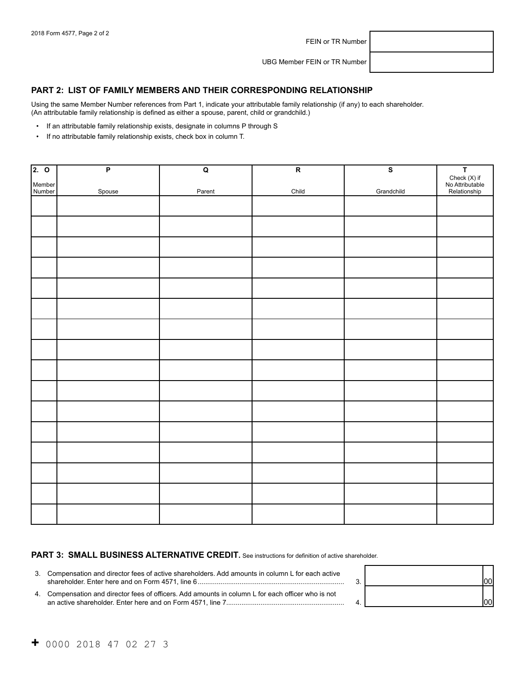FEIN or TR Number

UBG Member FEIN or TR Number

#### **PART 2: LIST OF FAMILY MEMBERS AND THEIR CORRESPONDING RELATIONSHIP**

Using the same Member Number references from Part 1, indicate your attributable family relationship (if any) to each shareholder. (An attributable family relationship is defined as either a spouse, parent, child or grandchild.)

- If an attributable family relationship exists, designate in columns P through S
- If no attributable family relationship exists, check box in column T.

| 2.0              | $\overline{P}$ | $\mathbf Q$ | $\overline{\mathsf{R}}$ | $\overline{s}$ | T<br>Check (X) if<br>No Attributable<br>Relationship |
|------------------|----------------|-------------|-------------------------|----------------|------------------------------------------------------|
|                  |                |             |                         |                |                                                      |
| Member<br>Number | Spouse         | Parent      | Child                   | Grandchild     |                                                      |
|                  |                |             |                         |                |                                                      |
|                  |                |             |                         |                |                                                      |
|                  |                |             |                         |                |                                                      |
|                  |                |             |                         |                |                                                      |
|                  |                |             |                         |                |                                                      |
|                  |                |             |                         |                |                                                      |
|                  |                |             |                         |                |                                                      |
|                  |                |             |                         |                |                                                      |
|                  |                |             |                         |                |                                                      |
|                  |                |             |                         |                |                                                      |
|                  |                |             |                         |                |                                                      |
|                  |                |             |                         |                |                                                      |
|                  |                |             |                         |                |                                                      |
|                  |                |             |                         |                |                                                      |
|                  |                |             |                         |                |                                                      |
|                  |                |             |                         |                |                                                      |
|                  |                |             |                         |                |                                                      |
|                  |                |             |                         |                |                                                      |
|                  |                |             |                         |                |                                                      |
|                  |                |             |                         |                |                                                      |
|                  |                |             |                         |                |                                                      |
|                  |                |             |                         |                |                                                      |

### PART 3: SMALL BUSINESS ALTERNATIVE CREDIT. See instructions for definition of active shareholder.

| 3. Compensation and director fees of active shareholders. Add amounts in column L for each active  |  |
|----------------------------------------------------------------------------------------------------|--|
| 4. Compensation and director fees of officers. Add amounts in column L for each officer who is not |  |

| 3. |  |
|----|--|
| 4  |  |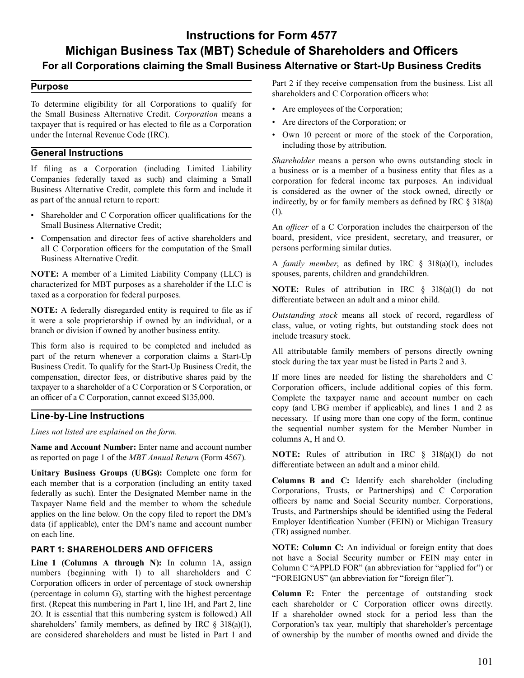# **Instructions for Form 4577 Michigan Business Tax (MBT) Schedule of Shareholders and Officers For all Corporations claiming the Small Business Alternative or Start-Up Business Credits**

#### **Purpose**

 To determine eligibility for all Corporations to qualify for the Small Business Alternative Credit. *Corporation* means a taxpayer that is required or has elected to file as a Corporation under the Internal Revenue Code (IRC).

### **General Instructions**

 If filing as a Corporation (including Limited Liability Companies federally taxed as such) and claiming a Small Business Alternative Credit, complete this form and include it as part of the annual return to report:

- Shareholder and C Corporation officer qualifications for the Small Business Alternative Credit;
- Compensation and director fees of active shareholders and all C Corporation officers for the computation of the Small Business Alternative Credit.

 **NOTE:** A member of a Limited Liability Company (LLC) is characterized for MBT purposes as a shareholder if the LLC is taxed as a corporation for federal purposes.

 **NOTE:** A federally disregarded entity is required to file as if it were a sole proprietorship if owned by an individual, or a branch or division if owned by another business entity.

 This form also is required to be completed and included as part of the return whenever a corporation claims a Start-Up Business Credit. To qualify for the Start-Up Business Credit, the compensation, director fees, or distributive shares paid by the taxpayer to a shareholder of a C Corporation or S Corporation, or an officer of a C Corporation, cannot exceed \$135,000.

#### **Line-by-Line Instructions**

*Lines not listed are explained on the form.* 

 **Name and Account Number:** Enter name and account number as reported on page 1 of the *MBT Annual Return* (Form 4567).

 **Unitary Business Groups (UBGs):** Complete one form for each member that is a corporation (including an entity taxed federally as such). Enter the Designated Member name in the Taxpayer Name field and the member to whom the schedule applies on the line below. On the copy filed to report the DM's data (if applicable), enter the DM's name and account number on each line.

#### **PART 1: SHAREHOLDERS AND OFFICERS**

 **Line 1 (Columns A through N):** In column 1A, assign numbers (beginning with 1) to all shareholders and C Corporation officers in order of percentage of stock ownership (percentage in column G), starting with the highest percentage first. (Repeat this numbering in Part 1, line 1H, and Part 2, line 2O. It is essential that this numbering system is followed.) All shareholders' family members, as defined by IRC § 318(a)(1), are considered shareholders and must be listed in Part 1 and  Part 2 if they receive compensation from the business. List all shareholders and C Corporation officers who:

- Are employees of the Corporation;
- Are directors of the Corporation; or
- Own 10 percent or more of the stock of the Corporation, including those by attribution.

 *Shareholder* means a person who owns outstanding stock in a business or is a member of a business entity that files as a corporation for federal income tax purposes. An individual is considered as the owner of the stock owned, directly or indirectly, by or for family members as defined by IRC § 318(a) (1).

 An *officer* of a C Corporation includes the chairperson of the board, president, vice president, secretary, and treasurer, or persons performing similar duties.

 A *family member*, as defined by IRC § 318(a)(1), includes spouses, parents, children and grandchildren.

 **NOTE:** Rules of attribution in IRC § 318(a)(1) do not differentiate between an adult and a minor child.

 *Outstanding stock* means all stock of record, regardless of class, value, or voting rights, but outstanding stock does not include treasury stock.

 All attributable family members of persons directly owning stock during the tax year must be listed in Parts 2 and 3.

 If more lines are needed for listing the shareholders and C Corporation officers, include additional copies of this form. Complete the taxpayer name and account number on each copy (and UBG member if applicable), and lines 1 and 2 as necessary. If using more than one copy of the form, continue the sequential number system for the Member Number in columns A, H and O.

 **NOTE:** Rules of attribution in IRC § 318(a)(1) do not differentiate between an adult and a minor child.

 **Columns B and C:** Identify each shareholder (including Corporations, Trusts, or Partnerships) and C Corporation officers by name and Social Security number. Corporations, Trusts, and Partnerships should be identified using the Federal Employer Identification Number (FEIN) or Michigan Treasury (TR) assigned number.

 **NOTE: Column C:** An individual or foreign entity that does not have a Social Security number or FEIN may enter in Column C "APPLD FOR" (an abbreviation for "applied for") or "FOREIGNUS" (an abbreviation for "foreign filer").

 **Column E:** Enter the percentage of outstanding stock each shareholder or C Corporation officer owns directly. If a shareholder owned stock for a period less than the Corporation's tax year, multiply that shareholder's percentage of ownership by the number of months owned and divide the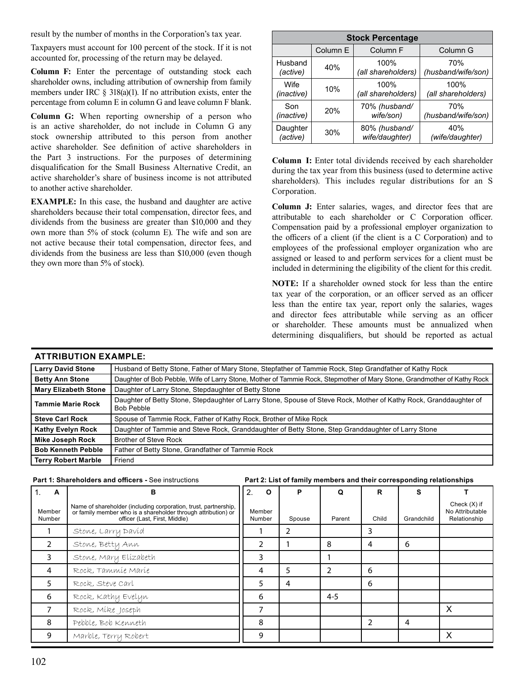result by the number of months in the Corporation's tax year.

 Taxpayers must account for 100 percent of the stock. If it is not accounted for, processing of the return may be delayed.

 **Column F:** Enter the percentage of outstanding stock each shareholder owns, including attribution of ownership from family members under IRC  $\S$  318(a)(1). If no attribution exists, enter the percentage from column E in column G and leave column F blank.

 **Column G:** When reporting ownership of a person who is an active shareholder, do not include in Column G any stock ownership attributed to this person from another active shareholder. See definition of active shareholders in the Part 3 instructions. For the purposes of determining disqualification for the Small Business Alternative Credit, an active shareholder's share of business income is not attributed to another active shareholder.

 **EXAMPLE:** In this case, the husband and daughter are active shareholders because their total compensation, director fees, and dividends from the business are greater than \$10,000 and they own more than 5% of stock (column E). The wife and son are not active because their total compensation, director fees, and dividends from the business are less than \$10,000 (even though they own more than 5% of stock).

| <b>Stock Percentage</b> |          |                    |                    |  |  |
|-------------------------|----------|--------------------|--------------------|--|--|
|                         | Column E | Column F           | Column G           |  |  |
| Husband                 | 40%      | 100%               | 70%                |  |  |
| (active)                |          | (all shareholders) | (husband/wife/son) |  |  |
| Wife                    | 10%      | 100%               | 100%               |  |  |
| (inactive)              |          | (all shareholders) | (all shareholders) |  |  |
| Son                     | 20%      | 70% (husband/      | 70%                |  |  |
| (inactive)              |          | wife/son)          | (husband/wife/son) |  |  |
| Daughter                | 30%      | 80% (husband/      | 40%                |  |  |
| (active)                |          | wife/daughter)     | (wife/daughter)    |  |  |

 **Column I:** Enter total dividends received by each shareholder during the tax year from this business (used to determine active shareholders). This includes regular distributions for an S Corporation.

 **Column J:** Enter salaries, wages, and director fees that are attributable to each shareholder or C Corporation officer. Compensation paid by a professional employer organization to the officers of a client (if the client is a C Corporation) and to employees of the professional employer organization who are assigned or leased to and perform services for a client must be included in determining the eligibility of the client for this credit.

 **NOTE:** If a shareholder owned stock for less than the entire tax year of the corporation, or an officer served as an officer less than the entire tax year, report only the salaries, wages and director fees attributable while serving as an officer or shareholder. These amounts must be annualized when determining disqualifiers, but should be reported as actual

| <b>Larry David Stone</b>    | Husband of Betty Stone, Father of Mary Stone, Stepfather of Tammie Rock, Step Grandfather of Kathy Rock                          |  |
|-----------------------------|----------------------------------------------------------------------------------------------------------------------------------|--|
| <b>Betty Ann Stone</b>      | Daughter of Bob Pebble, Wife of Larry Stone, Mother of Tammie Rock, Stepmother of Mary Stone, Grandmother of Kathy Rock          |  |
| <b>Mary Elizabeth Stone</b> | Daughter of Larry Stone, Stepdaughter of Betty Stone                                                                             |  |
| <b>Tammie Marie Rock</b>    | Daughter of Betty Stone, Stepdaughter of Larry Stone, Spouse of Steve Rock, Mother of Kathy Rock, Granddaughter of<br>Bob Pebble |  |
| <b>Steve Carl Rock</b>      | Spouse of Tammie Rock, Father of Kathy Rock, Brother of Mike Rock                                                                |  |
| <b>Kathy Evelyn Rock</b>    | Daughter of Tammie and Steve Rock, Granddaughter of Betty Stone, Step Granddaughter of Larry Stone                               |  |
| <b>Mike Joseph Rock</b>     | <b>Brother of Steve Rock</b>                                                                                                     |  |
| <b>Bob Kenneth Pebble</b>   | Father of Betty Stone, Grandfather of Tammie Rock                                                                                |  |
| <b>Terry Robert Marble</b>  | Friend                                                                                                                           |  |

## **ATTRIBUTION EXAMPLE:**

#### **Part 1: Shareholders and officers -** See instructions **Part 2: List of family members and their corresponding relationships**

**B** 

Member Number Name of shareholder (including corporation, trust, partnership, or family member who is a shareholder through attribution) or officer (Last, First, Middle) Member Number Spouse Parent Child Grandchild Check (X) if No Attributable Relationship 1 Stone, Larry David 1 2 3 2 Stone, Betty Ann 2 1 8 4 6 3 Stone, Mary Elizabeth 3 1 4 Rock, Tammie Marie **4 1 4 5 2 6** 5 Rock, Steve Carl 6 1 5 4 6 6 Rock, Kathy Evelyn **1990 Rock, Kathy Evelyn** 7 Frock, Mike Joseph 7 H 7 H H H H H X 8 Pebble, Bob Kenneth 8 2 4 9 Marble, Terry Robert 9 X

2. **O** 

**P** 

**Q** 

**R** 

**S** 

**T** 

1. **A**